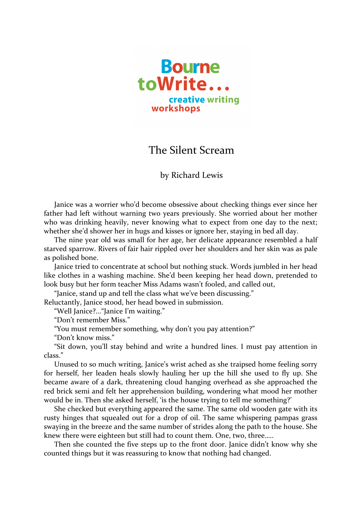

## The Silent Scream

## by Richard Lewis

Janice was a worrier who'd become obsessive about checking things ever since her father had left without warning two years previously. She worried about her mother who was drinking heavily, never knowing what to expect from one day to the next; whether she'd shower her in hugs and kisses or ignore her, staying in bed all day.

The nine year old was small for her age, her delicate appearance resembled a half starved sparrow. Rivers of fair hair rippled over her shoulders and her skin was as pale as polished bone.

Janice tried to concentrate at school but nothing stuck. Words jumbled in her head like clothes in a washing machine. She'd been keeping her head down, pretended to look busy but her form teacher Miss Adams wasn't fooled, and called out,

"Janice, stand up and tell the class what we've been discussing."

Reluctantly, Janice stood, her head bowed in submission.

"Well Janice?..."Janice I'm waiting."

"Don't remember Miss."

"You must remember something, why don't you pay attention?"

"Don't know miss."

"Sit down, you'll stay behind and write a hundred lines. I must pay attention in class."

Unused to so much writing, Janice's wrist ached as she traipsed home feeling sorry for herself, her leaden heals slowly hauling her up the hill she used to fly up. She became aware of a dark, threatening cloud hanging overhead as she approached the red brick semi and felt her apprehension building, wondering what mood her mother would be in. Then she asked herself, 'is the house trying to tell me something?'

She checked but everything appeared the same. The same old wooden gate with its rusty hinges that squealed out for a drop of oil. The same whispering pampas grass swaying in the breeze and the same number of strides along the path to the house. She knew there were eighteen but still had to count them. One, two, three.....

Then she counted the five steps up to the front door. Janice didn't know why she counted things but it was reassuring to know that nothing had changed.